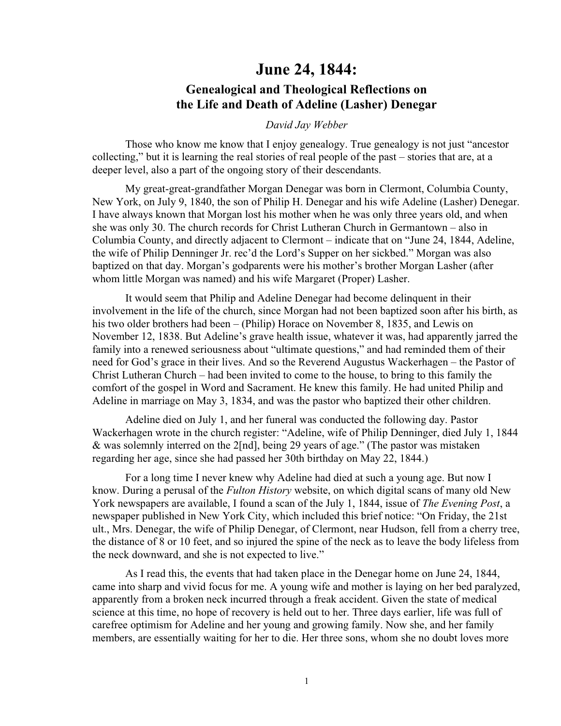## **June 24, 1844:**

## **Genealogical and Theological Reflections on the Life and Death of Adeline (Lasher) Denegar**

## *David Jay Webber*

Those who know me know that I enjoy genealogy. True genealogy is not just "ancestor collecting," but it is learning the real stories of real people of the past – stories that are, at a deeper level, also a part of the ongoing story of their descendants.

My great-great-grandfather Morgan Denegar was born in Clermont, Columbia County, New York, on July 9, 1840, the son of Philip H. Denegar and his wife Adeline (Lasher) Denegar. I have always known that Morgan lost his mother when he was only three years old, and when she was only 30. The church records for Christ Lutheran Church in Germantown – also in Columbia County, and directly adjacent to Clermont – indicate that on "June 24, 1844, Adeline, the wife of Philip Denninger Jr. rec'd the Lord's Supper on her sickbed." Morgan was also baptized on that day. Morgan's godparents were his mother's brother Morgan Lasher (after whom little Morgan was named) and his wife Margaret (Proper) Lasher.

It would seem that Philip and Adeline Denegar had become delinquent in their involvement in the life of the church, since Morgan had not been baptized soon after his birth, as his two older brothers had been – (Philip) Horace on November 8, 1835, and Lewis on November 12, 1838. But Adeline's grave health issue, whatever it was, had apparently jarred the family into a renewed seriousness about "ultimate questions," and had reminded them of their need for God's grace in their lives. And so the Reverend Augustus Wackerhagen – the Pastor of Christ Lutheran Church – had been invited to come to the house, to bring to this family the comfort of the gospel in Word and Sacrament. He knew this family. He had united Philip and Adeline in marriage on May 3, 1834, and was the pastor who baptized their other children.

Adeline died on July 1, and her funeral was conducted the following day. Pastor Wackerhagen wrote in the church register: "Adeline, wife of Philip Denninger, died July 1, 1844 & was solemnly interred on the 2[nd], being 29 years of age." (The pastor was mistaken regarding her age, since she had passed her 30th birthday on May 22, 1844.)

For a long time I never knew why Adeline had died at such a young age. But now I know. During a perusal of the *Fulton History* website, on which digital scans of many old New York newspapers are available, I found a scan of the July 1, 1844, issue of *The Evening Post*, a newspaper published in New York City, which included this brief notice: "On Friday, the 21st ult., Mrs. Denegar, the wife of Philip Denegar, of Clermont, near Hudson, fell from a cherry tree, the distance of 8 or 10 feet, and so injured the spine of the neck as to leave the body lifeless from the neck downward, and she is not expected to live."

As I read this, the events that had taken place in the Denegar home on June 24, 1844, came into sharp and vivid focus for me. A young wife and mother is laying on her bed paralyzed, apparently from a broken neck incurred through a freak accident. Given the state of medical science at this time, no hope of recovery is held out to her. Three days earlier, life was full of carefree optimism for Adeline and her young and growing family. Now she, and her family members, are essentially waiting for her to die. Her three sons, whom she no doubt loves more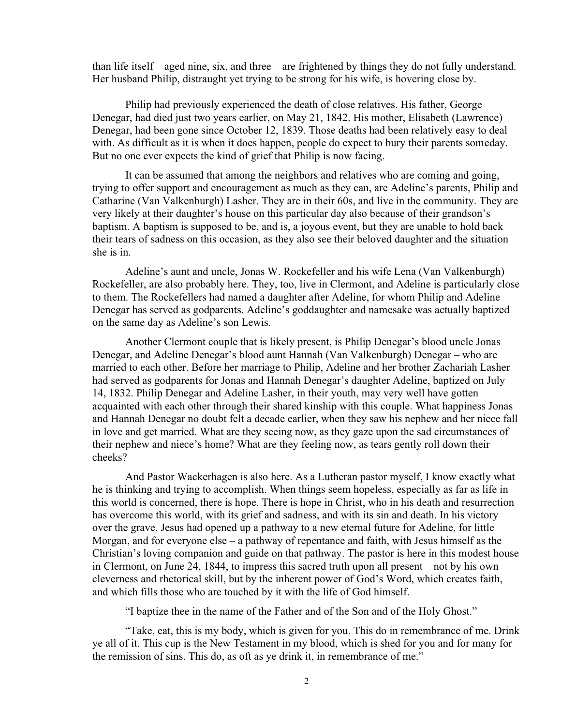than life itself – aged nine, six, and three – are frightened by things they do not fully understand. Her husband Philip, distraught yet trying to be strong for his wife, is hovering close by.

Philip had previously experienced the death of close relatives. His father, George Denegar, had died just two years earlier, on May 21, 1842. His mother, Elisabeth (Lawrence) Denegar, had been gone since October 12, 1839. Those deaths had been relatively easy to deal with. As difficult as it is when it does happen, people do expect to bury their parents someday. But no one ever expects the kind of grief that Philip is now facing.

It can be assumed that among the neighbors and relatives who are coming and going, trying to offer support and encouragement as much as they can, are Adeline's parents, Philip and Catharine (Van Valkenburgh) Lasher. They are in their 60s, and live in the community. They are very likely at their daughter's house on this particular day also because of their grandson's baptism. A baptism is supposed to be, and is, a joyous event, but they are unable to hold back their tears of sadness on this occasion, as they also see their beloved daughter and the situation she is in.

Adeline's aunt and uncle, Jonas W. Rockefeller and his wife Lena (Van Valkenburgh) Rockefeller, are also probably here. They, too, live in Clermont, and Adeline is particularly close to them. The Rockefellers had named a daughter after Adeline, for whom Philip and Adeline Denegar has served as godparents. Adeline's goddaughter and namesake was actually baptized on the same day as Adeline's son Lewis.

Another Clermont couple that is likely present, is Philip Denegar's blood uncle Jonas Denegar, and Adeline Denegar's blood aunt Hannah (Van Valkenburgh) Denegar – who are married to each other. Before her marriage to Philip, Adeline and her brother Zachariah Lasher had served as godparents for Jonas and Hannah Denegar's daughter Adeline, baptized on July 14, 1832. Philip Denegar and Adeline Lasher, in their youth, may very well have gotten acquainted with each other through their shared kinship with this couple. What happiness Jonas and Hannah Denegar no doubt felt a decade earlier, when they saw his nephew and her niece fall in love and get married. What are they seeing now, as they gaze upon the sad circumstances of their nephew and niece's home? What are they feeling now, as tears gently roll down their cheeks?

And Pastor Wackerhagen is also here. As a Lutheran pastor myself, I know exactly what he is thinking and trying to accomplish. When things seem hopeless, especially as far as life in this world is concerned, there is hope. There is hope in Christ, who in his death and resurrection has overcome this world, with its grief and sadness, and with its sin and death. In his victory over the grave, Jesus had opened up a pathway to a new eternal future for Adeline, for little Morgan, and for everyone else – a pathway of repentance and faith, with Jesus himself as the Christian's loving companion and guide on that pathway. The pastor is here in this modest house in Clermont, on June 24, 1844, to impress this sacred truth upon all present – not by his own cleverness and rhetorical skill, but by the inherent power of God's Word, which creates faith, and which fills those who are touched by it with the life of God himself.

"I baptize thee in the name of the Father and of the Son and of the Holy Ghost."

"Take, eat, this is my body, which is given for you. This do in remembrance of me. Drink ye all of it. This cup is the New Testament in my blood, which is shed for you and for many for the remission of sins. This do, as oft as ye drink it, in remembrance of me."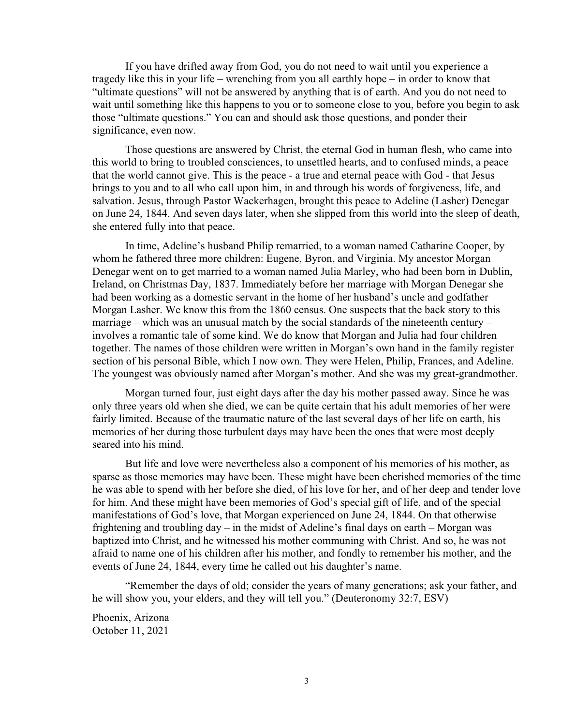If you have drifted away from God, you do not need to wait until you experience a tragedy like this in your life – wrenching from you all earthly hope – in order to know that "ultimate questions" will not be answered by anything that is of earth. And you do not need to wait until something like this happens to you or to someone close to you, before you begin to ask those "ultimate questions." You can and should ask those questions, and ponder their significance, even now.

Those questions are answered by Christ, the eternal God in human flesh, who came into this world to bring to troubled consciences, to unsettled hearts, and to confused minds, a peace that the world cannot give. This is the peace - a true and eternal peace with God - that Jesus brings to you and to all who call upon him, in and through his words of forgiveness, life, and salvation. Jesus, through Pastor Wackerhagen, brought this peace to Adeline (Lasher) Denegar on June 24, 1844. And seven days later, when she slipped from this world into the sleep of death, she entered fully into that peace.

In time, Adeline's husband Philip remarried, to a woman named Catharine Cooper, by whom he fathered three more children: Eugene, Byron, and Virginia. My ancestor Morgan Denegar went on to get married to a woman named Julia Marley, who had been born in Dublin, Ireland, on Christmas Day, 1837. Immediately before her marriage with Morgan Denegar she had been working as a domestic servant in the home of her husband's uncle and godfather Morgan Lasher. We know this from the 1860 census. One suspects that the back story to this marriage – which was an unusual match by the social standards of the nineteenth century – involves a romantic tale of some kind. We do know that Morgan and Julia had four children together. The names of those children were written in Morgan's own hand in the family register section of his personal Bible, which I now own. They were Helen, Philip, Frances, and Adeline. The youngest was obviously named after Morgan's mother. And she was my great-grandmother.

Morgan turned four, just eight days after the day his mother passed away. Since he was only three years old when she died, we can be quite certain that his adult memories of her were fairly limited. Because of the traumatic nature of the last several days of her life on earth, his memories of her during those turbulent days may have been the ones that were most deeply seared into his mind.

But life and love were nevertheless also a component of his memories of his mother, as sparse as those memories may have been. These might have been cherished memories of the time he was able to spend with her before she died, of his love for her, and of her deep and tender love for him. And these might have been memories of God's special gift of life, and of the special manifestations of God's love, that Morgan experienced on June 24, 1844. On that otherwise frightening and troubling day – in the midst of Adeline's final days on earth – Morgan was baptized into Christ, and he witnessed his mother communing with Christ. And so, he was not afraid to name one of his children after his mother, and fondly to remember his mother, and the events of June 24, 1844, every time he called out his daughter's name.

"Remember the days of old; consider the years of many generations; ask your father, and he will show you, your elders, and they will tell you." (Deuteronomy 32:7, ESV)

Phoenix, Arizona October 11, 2021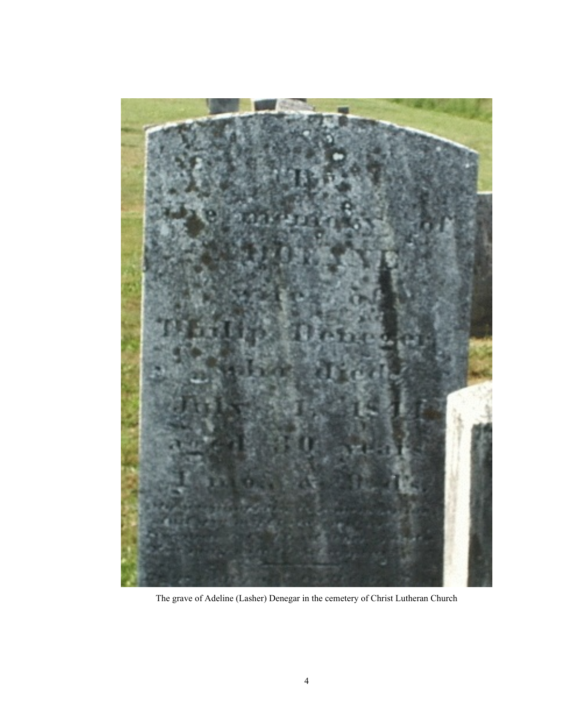

The grave of Adeline (Lasher) Denegar in the cemetery of Christ Lutheran Church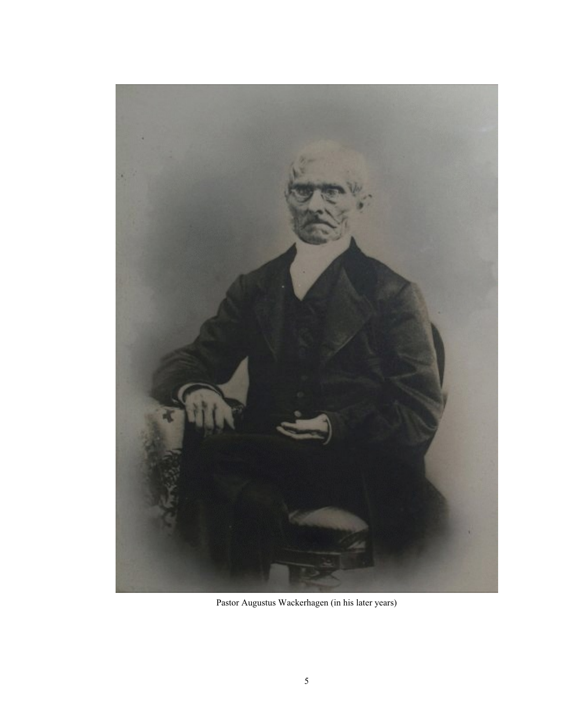

Pastor Augustus Wackerhagen (in his later years)